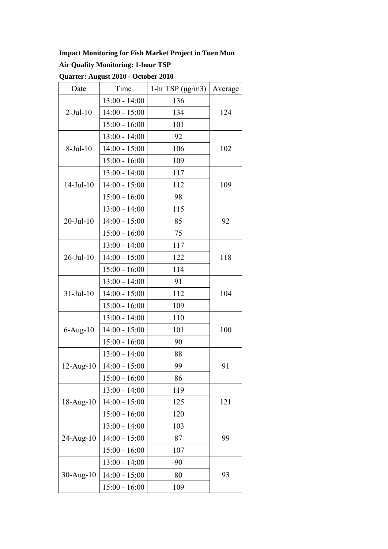### **Impact Monitoring for Fish Market Project in Tuen Mun**

### **Air Quality Monitoring: 1-hour TSP**

| Date             | Time            | 1-hr TSP $(\mu g/m3)$ | Average |
|------------------|-----------------|-----------------------|---------|
| $2-Jul-10$       | $13:00 - 14:00$ | 136                   |         |
|                  | $14:00 - 15:00$ | 134                   | 124     |
|                  | $15:00 - 16:00$ | 101                   |         |
| $8-Jul-10$       | $13:00 - 14:00$ | 92                    |         |
|                  | $14:00 - 15:00$ | 106                   | 102     |
|                  | $15:00 - 16:00$ | 109                   |         |
| $14$ -Jul- $10$  | $13:00 - 14:00$ | 117                   |         |
|                  | $14:00 - 15:00$ | 112                   | 109     |
|                  | $15:00 - 16:00$ | 98                    |         |
|                  | $13:00 - 14:00$ | 115                   | 92      |
| $20$ -Jul- $10$  | $14:00 - 15:00$ | 85                    |         |
|                  | $15:00 - 16:00$ | 75                    |         |
|                  | $13:00 - 14:00$ | 117                   |         |
| 26-Jul-10        | $14:00 - 15:00$ | 122                   | 118     |
|                  | $15:00 - 16:00$ | 114                   |         |
|                  | $13:00 - 14:00$ | 91                    | 104     |
| $31 -$ Jul $-10$ | $14:00 - 15:00$ | 112                   |         |
|                  | $15:00 - 16:00$ | 109                   |         |
| $6$ -Aug- $10$   | $13:00 - 14:00$ | 110                   | 100     |
|                  | $14:00 - 15:00$ | 101                   |         |
|                  | $15:00 - 16:00$ | 90                    |         |
|                  | $13:00 - 14:00$ | 88                    | 91      |
| $12$ -Aug- $10$  | $14:00 - 15:00$ | 99                    |         |
|                  | $15:00 - 16:00$ | 86                    |         |
| $18-Aug-10$      | $13:00 - 14:00$ | 119                   |         |
|                  | $14:00 - 15:00$ | 125                   | 121     |
|                  | $15:00 - 16:00$ | 120                   |         |
| $24 - Aug-10$    | $13:00 - 14:00$ | 103                   |         |
|                  | $14:00 - 15:00$ | 87                    | 99      |
|                  | $15:00 - 16:00$ | 107                   |         |
| $30$ -Aug- $10$  | $13:00 - 14:00$ | 90                    |         |
|                  | $14:00 - 15:00$ | 80                    | 93      |
|                  | $15:00 - 16:00$ | 109                   |         |

**Quarter: August 2010 - October 2010**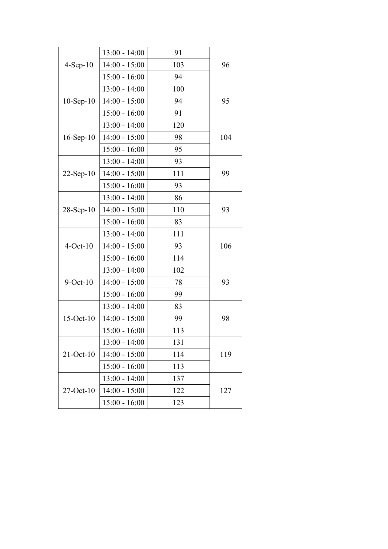| $4-Sep-10$      | $13:00 - 14:00$ | 91  | 96  |
|-----------------|-----------------|-----|-----|
|                 | $14:00 - 15:00$ | 103 |     |
|                 | $15:00 - 16:00$ | 94  |     |
|                 | $13:00 - 14:00$ | 100 | 95  |
| $10-Sep-10$     | $14:00 - 15:00$ | 94  |     |
|                 | $15:00 - 16:00$ | 91  |     |
|                 | $13:00 - 14:00$ | 120 | 104 |
| $16$ -Sep- $10$ | $14:00 - 15:00$ | 98  |     |
|                 | $15:00 - 16:00$ | 95  |     |
|                 | $13:00 - 14:00$ | 93  | 99  |
| $22$ -Sep-10    | $14:00 - 15:00$ | 111 |     |
|                 | $15:00 - 16:00$ | 93  |     |
|                 | $13:00 - 14:00$ | 86  |     |
| $28-Sep-10$     | $14:00 - 15:00$ | 110 | 93  |
|                 | $15:00 - 16:00$ | 83  |     |
| $4-Oct-10$      | $13:00 - 14:00$ | 111 | 106 |
|                 | $14:00 - 15:00$ | 93  |     |
|                 | $15:00 - 16:00$ | 114 |     |
|                 | $13:00 - 14:00$ | 102 | 93  |
| $9$ -Oct- $10$  | $14:00 - 15:00$ | 78  |     |
|                 | $15:00 - 16:00$ | 99  |     |
| $15-Oct-10$     | $13:00 - 14:00$ | 83  |     |
|                 | $14:00 - 15:00$ | 99  | 98  |
|                 | $15:00 - 16:00$ | 113 |     |
| $21-Oct-10$     | $13:00 - 14:00$ | 131 |     |
|                 | $14:00 - 15:00$ | 114 | 119 |
|                 | $15:00 - 16:00$ | 113 |     |
| $27-Oct-10$     | $13:00 - 14:00$ | 137 | 127 |
|                 | $14:00 - 15:00$ | 122 |     |
|                 | $15:00 - 16:00$ | 123 |     |